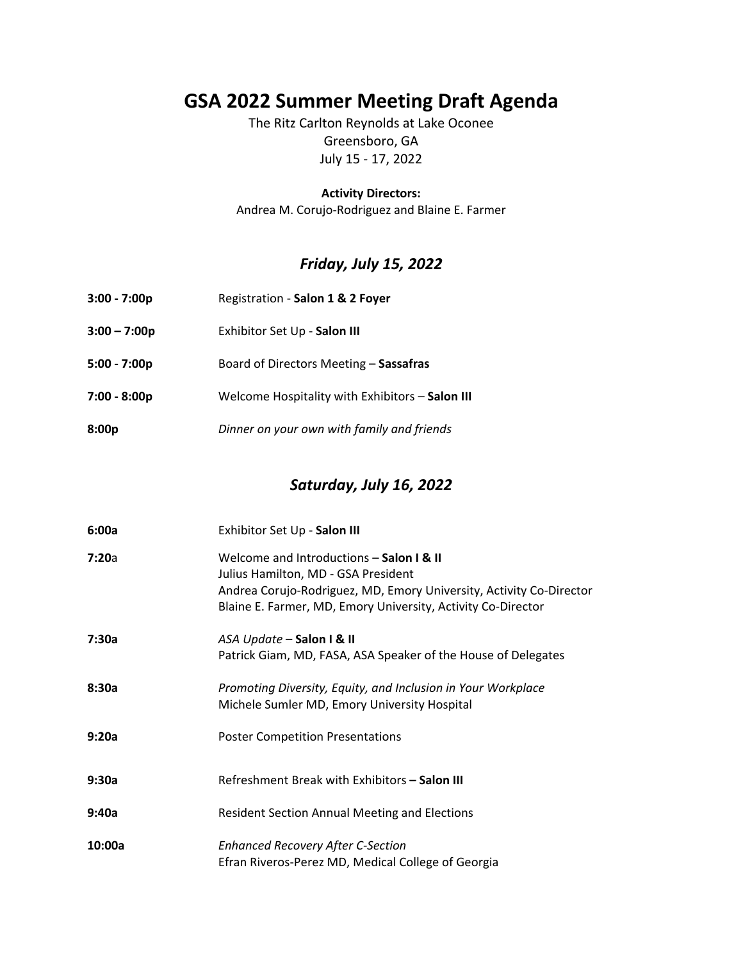# **GSA 2022 Summer Meeting Draft Agenda**

The Ritz Carlton Reynolds at Lake Oconee Greensboro, GA July 15 ‐ 17, 2022

**Activity Directors:**

Andrea M. Corujo‐Rodriguez and Blaine E. Farmer

## *Friday, July 15, 2022*

| $3:00 - 7:00p$ | Registration - Salon 1 & 2 Foyer                |
|----------------|-------------------------------------------------|
| $3:00 - 7:00p$ | Exhibitor Set Up - Salon III                    |
| $5:00 - 7:00p$ | Board of Directors Meeting - Sassafras          |
| $7:00 - 8:00p$ | Welcome Hospitality with Exhibitors - Salon III |
| 8:00p          | Dinner on your own with family and friends      |

### *Saturday, July 16, 2022*

| 6:00a  | Exhibitor Set Up - Salon III                                                                                                                                                                                           |
|--------|------------------------------------------------------------------------------------------------------------------------------------------------------------------------------------------------------------------------|
| 7:20a  | Welcome and Introductions - Salon I & II<br>Julius Hamilton, MD - GSA President<br>Andrea Corujo-Rodriguez, MD, Emory University, Activity Co-Director<br>Blaine E. Farmer, MD, Emory University, Activity Co-Director |
| 7:30a  | ASA Update - Salon I & II<br>Patrick Giam, MD, FASA, ASA Speaker of the House of Delegates                                                                                                                             |
| 8:30a  | Promoting Diversity, Equity, and Inclusion in Your Workplace<br>Michele Sumler MD, Emory University Hospital                                                                                                           |
| 9:20a  | <b>Poster Competition Presentations</b>                                                                                                                                                                                |
| 9:30a  | Refreshment Break with Exhibitors - Salon III                                                                                                                                                                          |
| 9:40a  | <b>Resident Section Annual Meeting and Elections</b>                                                                                                                                                                   |
| 10:00a | <b>Enhanced Recovery After C-Section</b><br>Efran Riveros-Perez MD, Medical College of Georgia                                                                                                                         |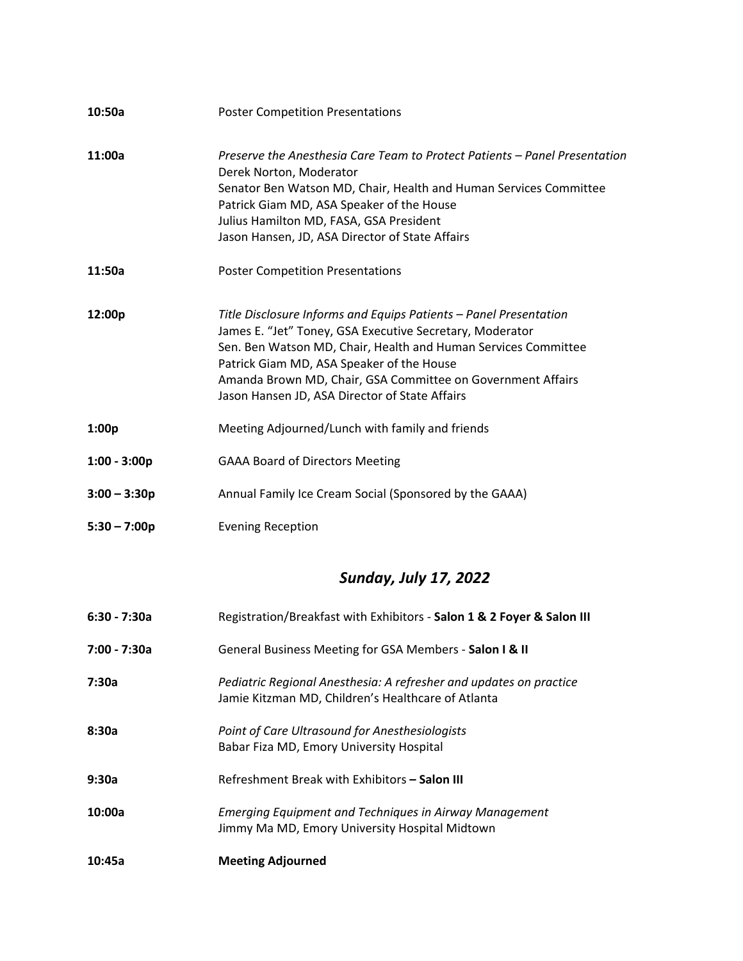| 10:50a         | <b>Poster Competition Presentations</b>                                                                                                                                                                                                                                                                                                                       |
|----------------|---------------------------------------------------------------------------------------------------------------------------------------------------------------------------------------------------------------------------------------------------------------------------------------------------------------------------------------------------------------|
| 11:00a         | Preserve the Anesthesia Care Team to Protect Patients - Panel Presentation<br>Derek Norton, Moderator<br>Senator Ben Watson MD, Chair, Health and Human Services Committee<br>Patrick Giam MD, ASA Speaker of the House<br>Julius Hamilton MD, FASA, GSA President<br>Jason Hansen, JD, ASA Director of State Affairs                                         |
| 11:50a         | <b>Poster Competition Presentations</b>                                                                                                                                                                                                                                                                                                                       |
| 12:00p         | Title Disclosure Informs and Equips Patients - Panel Presentation<br>James E. "Jet" Toney, GSA Executive Secretary, Moderator<br>Sen. Ben Watson MD, Chair, Health and Human Services Committee<br>Patrick Giam MD, ASA Speaker of the House<br>Amanda Brown MD, Chair, GSA Committee on Government Affairs<br>Jason Hansen JD, ASA Director of State Affairs |
| 1:00p          | Meeting Adjourned/Lunch with family and friends                                                                                                                                                                                                                                                                                                               |
| $1:00 - 3:00p$ | <b>GAAA Board of Directors Meeting</b>                                                                                                                                                                                                                                                                                                                        |
| $3:00 - 3:30p$ | Annual Family Ice Cream Social (Sponsored by the GAAA)                                                                                                                                                                                                                                                                                                        |
| $5:30 - 7:00p$ | <b>Evening Reception</b>                                                                                                                                                                                                                                                                                                                                      |

# *Sunday, July 17, 2022*

| $6:30 - 7:30a$ | Registration/Breakfast with Exhibitors - Salon 1 & 2 Foyer & Salon III                                                   |
|----------------|--------------------------------------------------------------------------------------------------------------------------|
| 7:00 - 7:30a   | General Business Meeting for GSA Members - Salon I & II                                                                  |
| 7:30a          | Pediatric Regional Anesthesia: A refresher and updates on practice<br>Jamie Kitzman MD, Children's Healthcare of Atlanta |
| 8:30a          | Point of Care Ultrasound for Anesthesiologists<br>Babar Fiza MD, Emory University Hospital                               |
| 9:30a          | Refreshment Break with Exhibitors – Salon III                                                                            |
| 10:00a         | <b>Emerging Equipment and Techniques in Airway Management</b><br>Jimmy Ma MD, Emory University Hospital Midtown          |
| 10:45a         | <b>Meeting Adjourned</b>                                                                                                 |